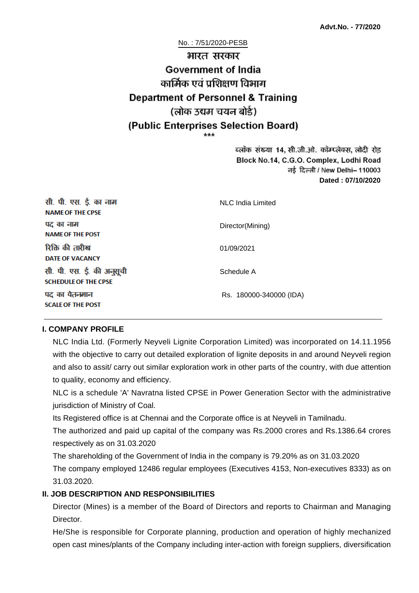#### No. : 7/51/2020-PESB

# भारत सरकार **Government of India** कार्मिक एवं पशिक्षण विभाग **Department of Personnel & Training** (लोक उद्यम चयन बोर्ड) (Public Enterprises Selection Board)

ब्लॉक संख्या 14, सी.जी.ओ. कॉम्प्लेक्स, लोदी रोड Block No.14, C.G.O. Complex, Lodhi Road ਰई दिल्ली / New Delhi– 110003 **Dated : 07/10/2020**

| सी. पी. एस. ई. का नाम<br><b>NAME OF THE CPSE</b>         | NLC India Limited       |
|----------------------------------------------------------|-------------------------|
| पद का नाम<br><b>NAME OF THE POST</b>                     | Director(Mining)        |
| रिक्ति की तारीख<br><b>DATE OF VACANCY</b>                | 01/09/2021              |
| सी. पी. एस. ई. की अनुसूची<br><b>SCHEDULE OF THE CPSE</b> | Schedule A              |
| पद का वेतनमान<br><b>SCALE OF THE POST</b>                | Rs. 180000-340000 (IDA) |

#### **I. COMPANY PROFILE**

NLC India Ltd. (Formerly Neyveli Lignite Corporation Limited) was incorporated on 14.11.1956 with the objective to carry out detailed exploration of lignite deposits in and around Neyveli region and also to assit/ carry out similar exploration work in other parts of the country, with due attention to quality, economy and efficiency.

NLC is a schedule 'A' Navratna listed CPSE in Power Generation Sector with the administrative jurisdiction of Ministry of Coal.

Its Registered office is at Chennai and the Corporate office is at Neyveli in Tamilnadu.

The authorized and paid up capital of the company was Rs.2000 crores and Rs.1386.64 crores respectively as on 31.03.2020

The shareholding of the Government of India in the company is 79.20% as on 31.03.2020

The company employed 12486 regular employees (Executives 4153, Non-executives 8333) as on 31.03.2020.

#### **II. JOB DESCRIPTION AND RESPONSIBILITIES**

Director (Mines) is a member of the Board of Directors and reports to Chairman and Managing Director.

He/She is responsible for Corporate planning, production and operation of highly mechanized open cast mines/plants of the Company including inter-action with foreign suppliers, diversification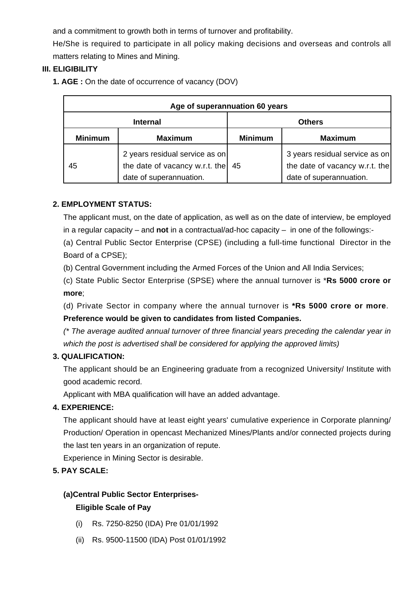and a commitment to growth both in terms of turnover and profitability.

He/She is required to participate in all policy making decisions and overseas and controls all matters relating to Mines and Mining.

#### **III. ELIGIBILITY**

**1. AGE :** On the date of occurrence of vacancy (DOV)

| Age of superannuation 60 years |                                                                                             |                |                                                                                             |
|--------------------------------|---------------------------------------------------------------------------------------------|----------------|---------------------------------------------------------------------------------------------|
| <b>Internal</b>                |                                                                                             | <b>Others</b>  |                                                                                             |
| <b>Minimum</b>                 | <b>Maximum</b>                                                                              | <b>Minimum</b> | <b>Maximum</b>                                                                              |
| 45                             | 2 years residual service as on<br>the date of vacancy w.r.t. the<br>date of superannuation. | 45             | 3 years residual service as on<br>the date of vacancy w.r.t. the<br>date of superannuation. |

## **2. EMPLOYMENT STATUS:**

The applicant must, on the date of application, as well as on the date of interview, be employed in a regular capacity – and **not** in a contractual/ad-hoc capacity – in one of the followings:-

(a) Central Public Sector Enterprise (CPSE) (including a full-time functional Director in the Board of a CPSE);

(b) Central Government including the Armed Forces of the Union and All India Services;

(c) State Public Sector Enterprise (SPSE) where the annual turnover is \***Rs 5000 crore or more**;

(d) Private Sector in company where the annual turnover is **\*Rs 5000 crore or more**.

## **Preference would be given to candidates from listed Companies.**

(\* The average audited annual turnover of three financial years preceding the calendar year in which the post is advertised shall be considered for applying the approved limits)

## **3. QUALIFICATION:**

The applicant should be an Engineering graduate from a recognized University/ Institute with good academic record.

Applicant with MBA qualification will have an added advantage.

## **4. EXPERIENCE:**

The applicant should have at least eight years' cumulative experience in Corporate planning/ Production/ Operation in opencast Mechanized Mines/Plants and/or connected projects during the last ten years in an organization of repute.

Experience in Mining Sector is desirable.

## **5. PAY SCALE:**

# **(a)Central Public Sector Enterprises-**

## **Eligible Scale of Pay**

- (i) Rs. 7250-8250 (IDA) Pre 01/01/1992
- (ii) Rs. 9500-11500 (IDA) Post 01/01/1992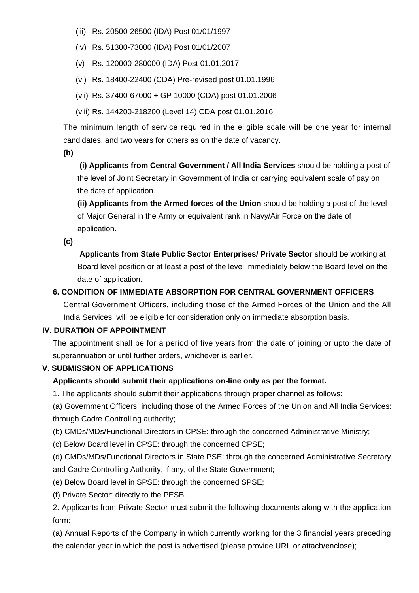- (iii) Rs. 20500-26500 (IDA) Post 01/01/1997
- (iv) Rs. 51300-73000 (IDA) Post 01/01/2007
- (v) Rs. 120000-280000 (IDA) Post 01.01.2017
- (vi) Rs. 18400-22400 (CDA) Pre-revised post 01.01.1996
- (vii) Rs. 37400-67000 + GP 10000 (CDA) post 01.01.2006
- (viii) Rs. 144200-218200 (Level 14) CDA post 01.01.2016

The minimum length of service required in the eligible scale will be one year for internal candidates, and two years for others as on the date of vacancy.

**(b)**

**(i) Applicants from Central Government / All India Services** should be holding a post of the level of Joint Secretary in Government of India or carrying equivalent scale of pay on the date of application.

**(ii) Applicants from the Armed forces of the Union** should be holding a post of the level of Major General in the Army or equivalent rank in Navy/Air Force on the date of application.

**(c)**

 **Applicants from State Public Sector Enterprises/ Private Sector** should be working at Board level position or at least a post of the level immediately below the Board level on the date of application.

#### **6. CONDITION OF IMMEDIATE ABSORPTION FOR CENTRAL GOVERNMENT OFFICERS**

Central Government Officers, including those of the Armed Forces of the Union and the All India Services, will be eligible for consideration only on immediate absorption basis.

#### **IV. DURATION OF APPOINTMENT**

The appointment shall be for a period of five years from the date of joining or upto the date of superannuation or until further orders, whichever is earlier.

#### **V. SUBMISSION OF APPLICATIONS**

#### **Applicants should submit their applications on-line only as per the format.**

1. The applicants should submit their applications through proper channel as follows:

(a) Government Officers, including those of the Armed Forces of the Union and All India Services: through Cadre Controlling authority;

(b) CMDs/MDs/Functional Directors in CPSE: through the concerned Administrative Ministry;

(c) Below Board level in CPSE: through the concerned CPSE;

(d) CMDs/MDs/Functional Directors in State PSE: through the concerned Administrative Secretary and Cadre Controlling Authority, if any, of the State Government;

- (e) Below Board level in SPSE: through the concerned SPSE;
- (f) Private Sector: directly to the PESB.

2. Applicants from Private Sector must submit the following documents along with the application form:

(a) Annual Reports of the Company in which currently working for the 3 financial years preceding the calendar year in which the post is advertised (please provide URL or attach/enclose);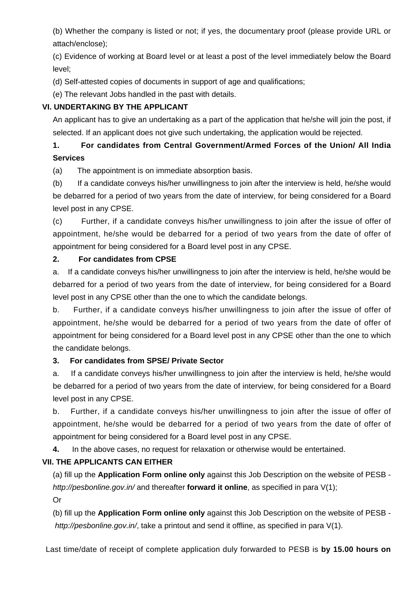(b) Whether the company is listed or not; if yes, the documentary proof (please provide URL or attach/enclose);

(c) Evidence of working at Board level or at least a post of the level immediately below the Board level;

(d) Self-attested copies of documents in support of age and qualifications;

(e) The relevant Jobs handled in the past with details.

#### **VI. UNDERTAKING BY THE APPLICANT**

An applicant has to give an undertaking as a part of the application that he/she will join the post, if selected. If an applicant does not give such undertaking, the application would be rejected.

## **1. For candidates from Central Government/Armed Forces of the Union/ All India Services**

(a) The appointment is on immediate absorption basis.

(b) If a candidate conveys his/her unwillingness to join after the interview is held, he/she would be debarred for a period of two years from the date of interview, for being considered for a Board level post in any CPSE.

(c) Further, if a candidate conveys his/her unwillingness to join after the issue of offer of appointment, he/she would be debarred for a period of two years from the date of offer of appointment for being considered for a Board level post in any CPSE.

#### **2. For candidates from CPSE**

a. If a candidate conveys his/her unwillingness to join after the interview is held, he/she would be debarred for a period of two years from the date of interview, for being considered for a Board level post in any CPSE other than the one to which the candidate belongs.

b. Further, if a candidate conveys his/her unwillingness to join after the issue of offer of appointment, he/she would be debarred for a period of two years from the date of offer of appointment for being considered for a Board level post in any CPSE other than the one to which the candidate belongs.

## **3. For candidates from SPSE/ Private Sector**

a. If a candidate conveys his/her unwillingness to join after the interview is held, he/she would be debarred for a period of two years from the date of interview, for being considered for a Board level post in any CPSE.

b. Further, if a candidate conveys his/her unwillingness to join after the issue of offer of appointment, he/she would be debarred for a period of two years from the date of offer of appointment for being considered for a Board level post in any CPSE.

**4.** In the above cases, no request for relaxation or otherwise would be entertained.

## **VII. THE APPLICANTS CAN EITHER**

(a) fill up the **Application Form online only** against this Job Description on the website of PESB http://pesbonline.gov.in/ and thereafter **forward it online**, as specified in para V(1);

Or

(b) fill up the **Application Form online only** against this Job Description on the website of PESB http://pesbonline.gov.in/, take a printout and send it offline, as specified in para V(1).

Last time/date of receipt of complete application duly forwarded to PESB is **by 15.00 hours on**